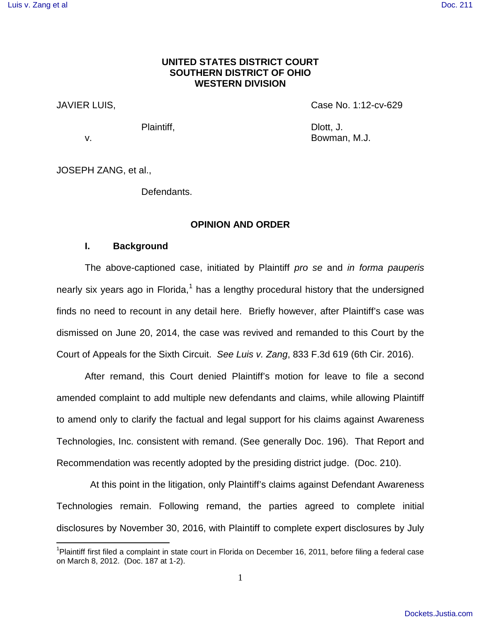# **UNITED STATES DISTRICT COURT SOUTHERN DISTRICT OF OHIO WESTERN DIVISION**

JAVIER LUIS, Case No. 1:12-cv-629

 $\overline{a}$ 

Plaintiff, **Dividends** Dividends and Dividends Dividends Dividends Dividends Dividends Dividends Dividends Dividends Dividends and Dividends Dividends and Dividends Dividends and Dividends Dividends and Dividends and Divid v. Bowman, M.J.

JOSEPH ZANG, et al.,

Defendants.

### **OPINION AND ORDER**

# **I. Background**

The above-captioned case, initiated by Plaintiff pro se and in forma pauperis nearly six years ago in Florida, $1$  has a lengthy procedural history that the undersigned finds no need to recount in any detail here. Briefly however, after Plaintiff's case was dismissed on June 20, 2014, the case was revived and remanded to this Court by the Court of Appeals for the Sixth Circuit. See Luis v. Zang, 833 F.3d 619 (6th Cir. 2016).

After remand, this Court denied Plaintiff's motion for leave to file a second amended complaint to add multiple new defendants and claims, while allowing Plaintiff to amend only to clarify the factual and legal support for his claims against Awareness Technologies, Inc. consistent with remand. (See generally Doc. 196). That Report and Recommendation was recently adopted by the presiding district judge. (Doc. 210).

 At this point in the litigation, only Plaintiff's claims against Defendant Awareness Technologies remain. Following remand, the parties agreed to complete initial disclosures by November 30, 2016, with Plaintiff to complete expert disclosures by July

<span id="page-0-0"></span><sup>&</sup>lt;sup>1</sup>Plaintiff first filed a complaint in state court in Florida on December 16, 2011, before filing a federal case on March 8, 2012. (Doc. 187 at 1-2).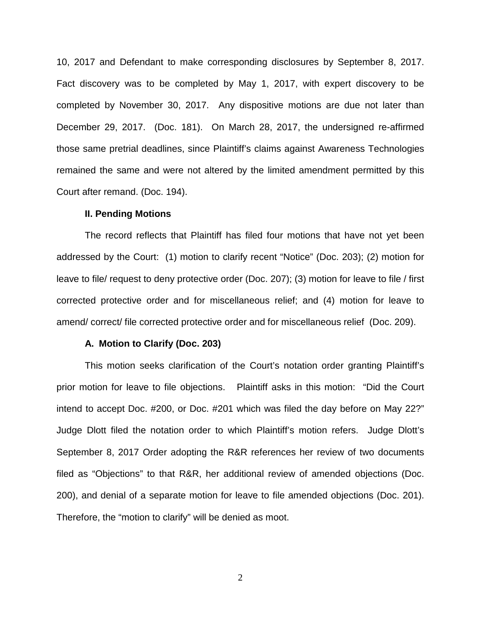10, 2017 and Defendant to make corresponding disclosures by September 8, 2017. Fact discovery was to be completed by May 1, 2017, with expert discovery to be completed by November 30, 2017. Any dispositive motions are due not later than December 29, 2017. (Doc. 181). On March 28, 2017, the undersigned re-affirmed those same pretrial deadlines, since Plaintiff's claims against Awareness Technologies remained the same and were not altered by the limited amendment permitted by this Court after remand. (Doc. 194).

#### **II. Pending Motions**

The record reflects that Plaintiff has filed four motions that have not yet been addressed by the Court: (1) motion to clarify recent "Notice" (Doc. 203); (2) motion for leave to file/ request to deny protective order (Doc. 207); (3) motion for leave to file / first corrected protective order and for miscellaneous relief; and (4) motion for leave to amend/ correct/ file corrected protective order and for miscellaneous relief (Doc. 209).

### **A. Motion to Clarify (Doc. 203)**

This motion seeks clarification of the Court's notation order granting Plaintiff's prior motion for leave to file objections. Plaintiff asks in this motion: "Did the Court intend to accept Doc. #200, or Doc. #201 which was filed the day before on May 22?" Judge Dlott filed the notation order to which Plaintiff's motion refers. Judge Dlott's September 8, 2017 Order adopting the R&R references her review of two documents filed as "Objections" to that R&R, her additional review of amended objections (Doc. 200), and denial of a separate motion for leave to file amended objections (Doc. 201). Therefore, the "motion to clarify" will be denied as moot.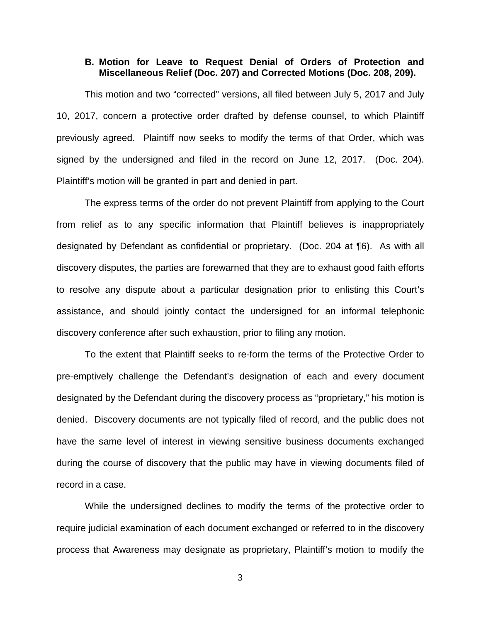# **B. Motion for Leave to Request Denial of Orders of Protection and Miscellaneous Relief (Doc. 207) and Corrected Motions (Doc. 208, 209).**

This motion and two "corrected" versions, all filed between July 5, 2017 and July 10, 2017, concern a protective order drafted by defense counsel, to which Plaintiff previously agreed. Plaintiff now seeks to modify the terms of that Order, which was signed by the undersigned and filed in the record on June 12, 2017. (Doc. 204). Plaintiff's motion will be granted in part and denied in part.

The express terms of the order do not prevent Plaintiff from applying to the Court from relief as to any specific information that Plaintiff believes is inappropriately designated by Defendant as confidential or proprietary. (Doc. 204 at ¶6). As with all discovery disputes, the parties are forewarned that they are to exhaust good faith efforts to resolve any dispute about a particular designation prior to enlisting this Court's assistance, and should jointly contact the undersigned for an informal telephonic discovery conference after such exhaustion, prior to filing any motion.

To the extent that Plaintiff seeks to re-form the terms of the Protective Order to pre-emptively challenge the Defendant's designation of each and every document designated by the Defendant during the discovery process as "proprietary," his motion is denied. Discovery documents are not typically filed of record, and the public does not have the same level of interest in viewing sensitive business documents exchanged during the course of discovery that the public may have in viewing documents filed of record in a case.

While the undersigned declines to modify the terms of the protective order to require judicial examination of each document exchanged or referred to in the discovery process that Awareness may designate as proprietary, Plaintiff's motion to modify the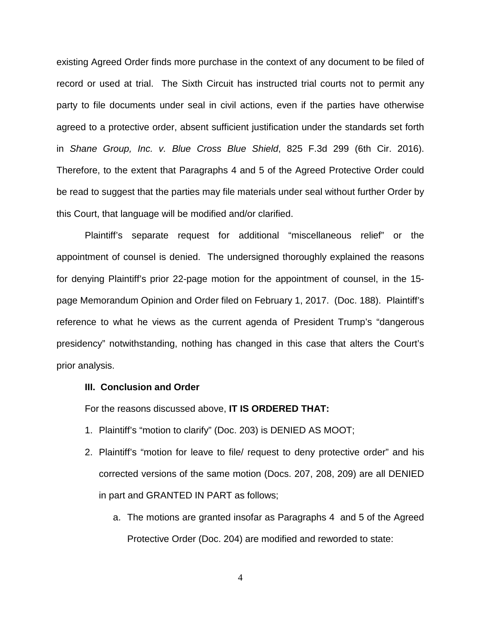existing Agreed Order finds more purchase in the context of any document to be filed of record or used at trial. The Sixth Circuit has instructed trial courts not to permit any party to file documents under seal in civil actions, even if the parties have otherwise agreed to a protective order, absent sufficient justification under the standards set forth in Shane Group, Inc. v. Blue Cross Blue Shield, 825 F.3d 299 (6th Cir. 2016). Therefore, to the extent that Paragraphs 4 and 5 of the Agreed Protective Order could be read to suggest that the parties may file materials under seal without further Order by this Court, that language will be modified and/or clarified.

Plaintiff's separate request for additional "miscellaneous relief" or the appointment of counsel is denied. The undersigned thoroughly explained the reasons for denying Plaintiff's prior 22-page motion for the appointment of counsel, in the 15 page Memorandum Opinion and Order filed on February 1, 2017. (Doc. 188). Plaintiff's reference to what he views as the current agenda of President Trump's "dangerous presidency" notwithstanding, nothing has changed in this case that alters the Court's prior analysis.

### **III. Conclusion and Order**

For the reasons discussed above, **IT IS ORDERED THAT:** 

- 1. Plaintiff's "motion to clarify" (Doc. 203) is DENIED AS MOOT;
- 2. Plaintiff's "motion for leave to file/ request to deny protective order" and his corrected versions of the same motion (Docs. 207, 208, 209) are all DENIED in part and GRANTED IN PART as follows;
	- a. The motions are granted insofar as Paragraphs 4 and 5 of the Agreed Protective Order (Doc. 204) are modified and reworded to state: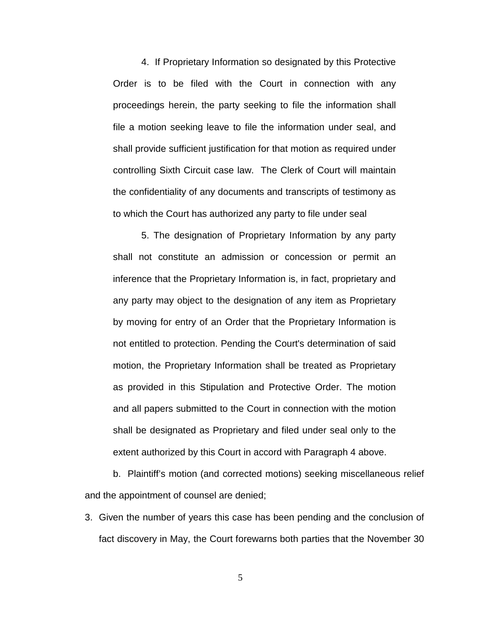4. If Proprietary Information so designated by this Protective Order is to be filed with the Court in connection with any proceedings herein, the party seeking to file the information shall file a motion seeking leave to file the information under seal, and shall provide sufficient justification for that motion as required under controlling Sixth Circuit case law. The Clerk of Court will maintain the confidentiality of any documents and transcripts of testimony as to which the Court has authorized any party to file under seal

5. The designation of Proprietary Information by any party shall not constitute an admission or concession or permit an inference that the Proprietary Information is, in fact, proprietary and any party may object to the designation of any item as Proprietary by moving for entry of an Order that the Proprietary Information is not entitled to protection. Pending the Court's determination of said motion, the Proprietary Information shall be treated as Proprietary as provided in this Stipulation and Protective Order. The motion and all papers submitted to the Court in connection with the motion shall be designated as Proprietary and filed under seal only to the extent authorized by this Court in accord with Paragraph 4 above.

b. Plaintiff's motion (and corrected motions) seeking miscellaneous relief and the appointment of counsel are denied;

3. Given the number of years this case has been pending and the conclusion of fact discovery in May, the Court forewarns both parties that the November 30